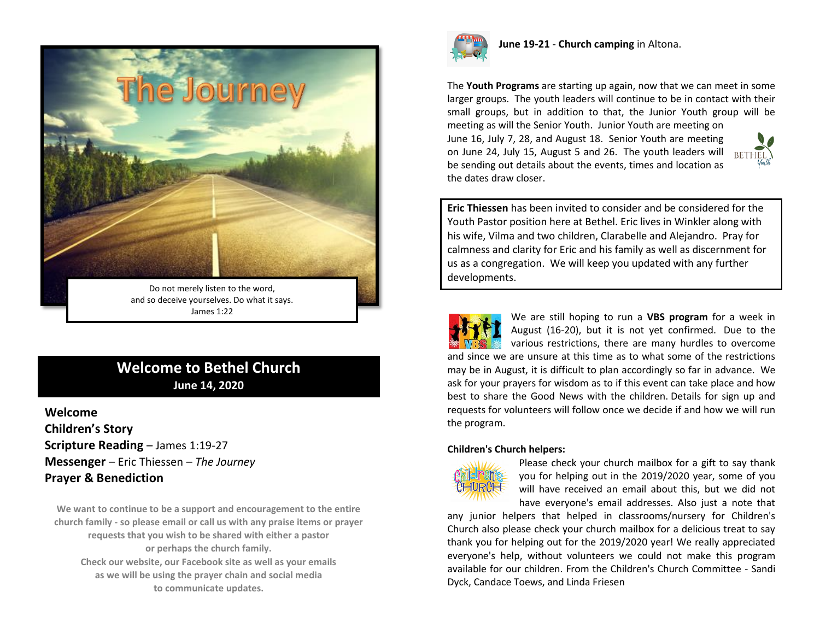

James 1:22

## **Welcome to Bethel Church June 14, 2020**

**Welcome Children's Story Scripture Reading** – James 1:19-27 **Messenger** – Eric Thiessen – *The Journey* **Prayer & Benediction**

**We want to continue to be a support and encouragement to the entire church family - so please email or call us with any praise items or prayer requests that you wish to be shared with either a pastor or perhaps the church family. Check our website, our Facebook site as well as your emails as we will be using the prayer chain and social media to communicate updates.**



**June 19-21** - **Church camping** in Altona.

The **Youth Programs** are starting up again, now that we can meet in some larger groups. The youth leaders will continue to be in contact with their small groups, but in addition to that, the Junior Youth group will be meeting as will the Senior Youth. Junior Youth are meeting on June 16, July 7, 28, and August 18. Senior Youth are meeting on June 24, July 15, August 5 and 26. The youth leaders will  $RF$ be sending out details about the events, times and location as the dates draw closer.

**Eric Thiessen** has been invited to consider and be considered for the Youth Pastor position here at Bethel. Eric lives in Winkler along with his wife, Vilma and two children, Clarabelle and Alejandro. Pray for calmness and clarity for Eric and his family as well as discernment for us as a congregation. We will keep you updated with any further developments.

We are still hoping to run a **VBS program** for a week in August (16-20), but it is not yet confirmed. Due to the various restrictions, there are many hurdles to overcome and since we are unsure at this time as to what some of the restrictions may be in August, it is difficult to plan accordingly so far in advance. We ask for your prayers for wisdom as to if this event can take place and how best to share the Good News with the children. Details for sign up and requests for volunteers will follow once we decide if and how we will run the program.

#### **Children's Church helpers:**



Please check your church mailbox for a gift to say thank you for helping out in the 2019/2020 year, some of you will have received an email about this, but we did not have everyone's email addresses. Also just a note that

any junior helpers that helped in classrooms/nursery for Children's Church also please check your church mailbox for a delicious treat to say thank you for helping out for the 2019/2020 year! We really appreciated everyone's help, without volunteers we could not make this program available for our children. From the Children's Church Committee - Sandi Dyck, Candace Toews, and Linda Friesen